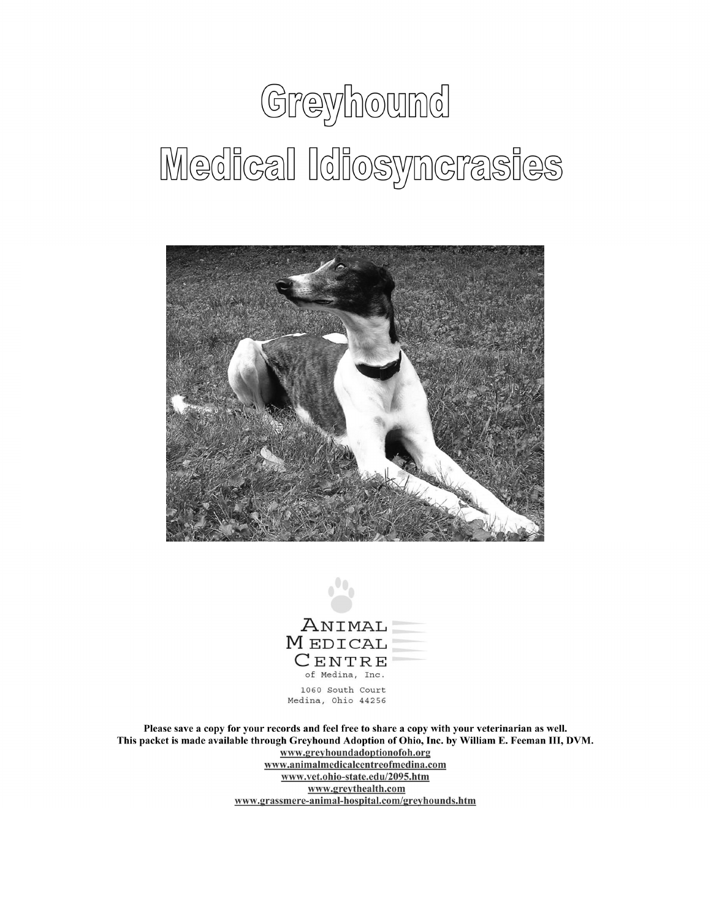# Greyhound Medical Idiosyncrasies





Please save a copy for your records and feel free to share a copy with your veterinarian as well. This packet is made available through Greyhound Adoption of Ohio, Inc. by William E. Feeman III, DVM. www.greyhoundadoptionofoh.org www.animalmedicalcentreofmedina.com www.vet.ohio-state.edu/2095.htm www.greythealth.com www.grassmere-animal-hospital.com/greyhounds.htm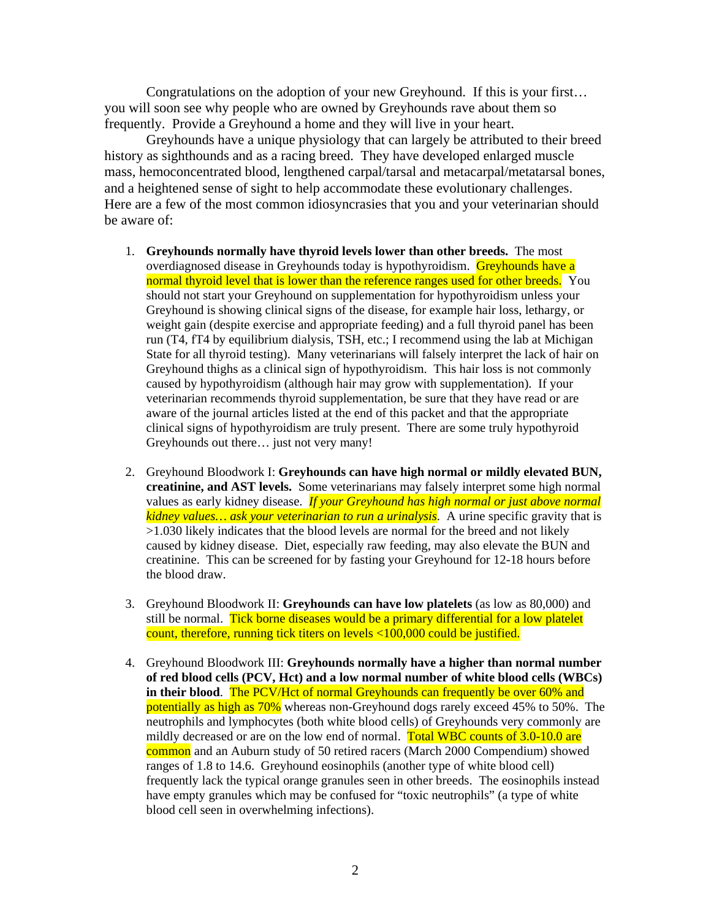Congratulations on the adoption of your new Greyhound. If this is your first… you will soon see why people who are owned by Greyhounds rave about them so frequently. Provide a Greyhound a home and they will live in your heart.

 Greyhounds have a unique physiology that can largely be attributed to their breed history as sighthounds and as a racing breed. They have developed enlarged muscle mass, hemoconcentrated blood, lengthened carpal/tarsal and metacarpal/metatarsal bones, and a heightened sense of sight to help accommodate these evolutionary challenges. Here are a few of the most common idiosyncrasies that you and your veterinarian should be aware of:

- 1. **Greyhounds normally have thyroid levels lower than other breeds.** The most overdiagnosed disease in Greyhounds today is hypothyroidism. Greyhounds have a normal thyroid level that is lower than the reference ranges used for other breeds. You should not start your Greyhound on supplementation for hypothyroidism unless your Greyhound is showing clinical signs of the disease, for example hair loss, lethargy, or weight gain (despite exercise and appropriate feeding) and a full thyroid panel has been run (T4, fT4 by equilibrium dialysis, TSH, etc.; I recommend using the lab at Michigan State for all thyroid testing). Many veterinarians will falsely interpret the lack of hair on Greyhound thighs as a clinical sign of hypothyroidism. This hair loss is not commonly caused by hypothyroidism (although hair may grow with supplementation). If your veterinarian recommends thyroid supplementation, be sure that they have read or are aware of the journal articles listed at the end of this packet and that the appropriate clinical signs of hypothyroidism are truly present. There are some truly hypothyroid Greyhounds out there… just not very many!
- 2. Greyhound Bloodwork I: **Greyhounds can have high normal or mildly elevated BUN, creatinine, and AST levels.** Some veterinarians may falsely interpret some high normal values as early kidney disease. *If your Greyhound has high normal or just above normal kidney values… ask your veterinarian to run a urinalysis*. A urine specific gravity that is >1.030 likely indicates that the blood levels are normal for the breed and not likely caused by kidney disease. Diet, especially raw feeding, may also elevate the BUN and creatinine. This can be screened for by fasting your Greyhound for 12-18 hours before the blood draw.
- 3. Greyhound Bloodwork II: **Greyhounds can have low platelets** (as low as 80,000) and still be normal. Tick borne diseases would be a primary differential for a low platelet count, therefore, running tick titers on levels <100,000 could be justified.
- 4. Greyhound Bloodwork III: **Greyhounds normally have a higher than normal number of red blood cells (PCV, Hct) and a low normal number of white blood cells (WBCs) in their blood.** The PCV/Hct of normal Greyhounds can frequently be over 60% and potentially as high as 70% whereas non-Greyhound dogs rarely exceed 45% to 50%. The neutrophils and lymphocytes (both white blood cells) of Greyhounds very commonly are mildly decreased or are on the low end of normal. Total WBC counts of 3.0-10.0 are common and an Auburn study of 50 retired racers (March 2000 Compendium) showed ranges of 1.8 to 14.6. Greyhound eosinophils (another type of white blood cell) frequently lack the typical orange granules seen in other breeds. The eosinophils instead have empty granules which may be confused for "toxic neutrophils" (a type of white blood cell seen in overwhelming infections).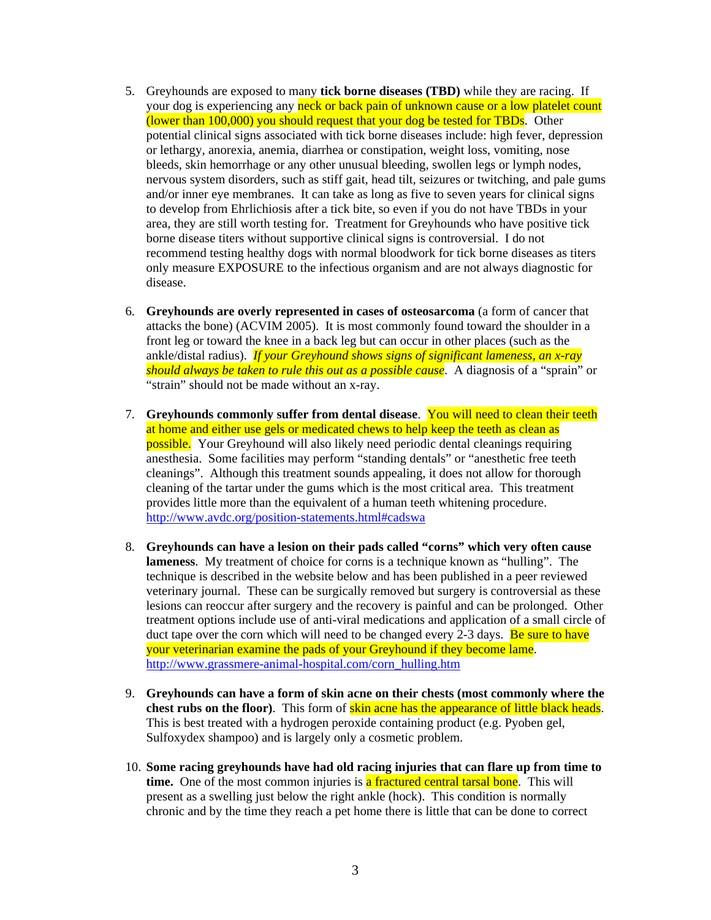- 5. Greyhounds are exposed to many **tick borne diseases (TBD)** while they are racing. If your dog is experiencing any neck or back pain of unknown cause or a low platelet count (lower than 100,000) you should request that your dog be tested for TBDs. Other potential clinical signs associated with tick borne diseases include: high fever, depression or lethargy, anorexia, anemia, diarrhea or constipation, weight loss, vomiting, nose bleeds, skin hemorrhage or any other unusual bleeding, swollen legs or lymph nodes, nervous system disorders, such as stiff gait, head tilt, seizures or twitching, and pale gums and/or inner eye membranes. It can take as long as five to seven years for clinical signs to develop from Ehrlichiosis after a tick bite, so even if you do not have TBDs in your area, they are still worth testing for. Treatment for Greyhounds who have positive tick borne disease titers without supportive clinical signs is controversial. I do not recommend testing healthy dogs with normal bloodwork for tick borne diseases as titers only measure EXPOSURE to the infectious organism and are not always diagnostic for disease.
- 6. **Greyhounds are overly represented in cases of osteosarcoma** (a form of cancer that attacks the bone) (ACVIM 2005). It is most commonly found toward the shoulder in a front leg or toward the knee in a back leg but can occur in other places (such as the ankle/distal radius). *If your Greyhound shows signs of significant lameness, an x-ray should always be taken to rule this out as a possible cause*. A diagnosis of a "sprain" or "strain" should not be made without an x-ray.
- 7. **Greyhounds commonly suffer from dental disease**. You will need to clean their teeth at home and either use gels or medicated chews to help keep the teeth as clean as possible. Your Greyhound will also likely need periodic dental cleanings requiring anesthesia. Some facilities may perform "standing dentals" or "anesthetic free teeth cleanings". Although this treatment sounds appealing, it does not allow for thorough cleaning of the tartar under the gums which is the most critical area. This treatment provides little more than the equivalent of a human teeth whitening procedure. http://www.avdc.org/position-statements.html#cadswa
- 8. **Greyhounds can have a lesion on their pads called "corns" which very often cause lameness**. My treatment of choice for corns is a technique known as "hulling". The technique is described in the website below and has been published in a peer reviewed veterinary journal. These can be surgically removed but surgery is controversial as these lesions can reoccur after surgery and the recovery is painful and can be prolonged. Other treatment options include use of anti-viral medications and application of a small circle of duct tape over the corn which will need to be changed every 2-3 days. Be sure to have your veterinarian examine the pads of your Greyhound if they become lame. http://www.grassmere-animal-hospital.com/corn\_hulling.htm
- 9. **Greyhounds can have a form of skin acne on their chests (most commonly where the chest rubs on the floor)**. This form of skin acne has the appearance of little black heads. This is best treated with a hydrogen peroxide containing product (e.g. Pyoben gel, Sulfoxydex shampoo) and is largely only a cosmetic problem.
- 10. **Some racing greyhounds have had old racing injuries that can flare up from time to time.** One of the most common injuries is a fractured central tarsal bone. This will present as a swelling just below the right ankle (hock). This condition is normally chronic and by the time they reach a pet home there is little that can be done to correct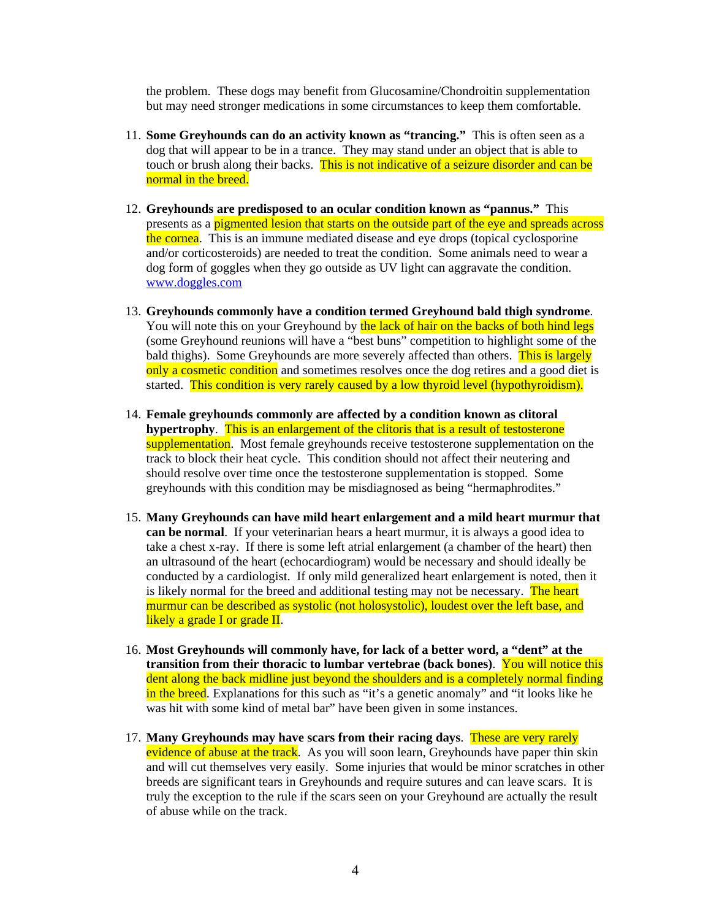the problem. These dogs may benefit from Glucosamine/Chondroitin supplementation but may need stronger medications in some circumstances to keep them comfortable.

- 11. **Some Greyhounds can do an activity known as "trancing."** This is often seen as a dog that will appear to be in a trance. They may stand under an object that is able to touch or brush along their backs. This is not indicative of a seizure disorder and can be normal in the breed.
- 12. **Greyhounds are predisposed to an ocular condition known as "pannus."** This presents as a pigmented lesion that starts on the outside part of the eye and spreads across the cornea. This is an immune mediated disease and eye drops (topical cyclosporine and/or corticosteroids) are needed to treat the condition. Some animals need to wear a dog form of goggles when they go outside as UV light can aggravate the condition. www.doggles.com
- 13. **Greyhounds commonly have a condition termed Greyhound bald thigh syndrome**. You will note this on your Greyhound by the lack of hair on the backs of both hind legs (some Greyhound reunions will have a "best buns" competition to highlight some of the bald thighs). Some Greyhounds are more severely affected than others. This is largely only a cosmetic condition and sometimes resolves once the dog retires and a good diet is started. This condition is very rarely caused by a low thyroid level (hypothyroidism).
- 14. **Female greyhounds commonly are affected by a condition known as clitoral hypertrophy**. This is an enlargement of the clitoris that is a result of testosterone supplementation. Most female greyhounds receive testosterone supplementation on the track to block their heat cycle. This condition should not affect their neutering and should resolve over time once the testosterone supplementation is stopped. Some greyhounds with this condition may be misdiagnosed as being "hermaphrodites."
- 15. **Many Greyhounds can have mild heart enlargement and a mild heart murmur that can be normal**. If your veterinarian hears a heart murmur, it is always a good idea to take a chest x-ray. If there is some left atrial enlargement (a chamber of the heart) then an ultrasound of the heart (echocardiogram) would be necessary and should ideally be conducted by a cardiologist. If only mild generalized heart enlargement is noted, then it is likely normal for the breed and additional testing may not be necessary. The heart murmur can be described as systolic (not holosystolic), loudest over the left base, and likely a grade I or grade II.
- 16. **Most Greyhounds will commonly have, for lack of a better word, a "dent" at the transition from their thoracic to lumbar vertebrae (back bones)**. You will notice this dent along the back midline just beyond the shoulders and is a completely normal finding in the breed. Explanations for this such as "it's a genetic anomaly" and "it looks like he was hit with some kind of metal bar" have been given in some instances.
- 17. **Many Greyhounds may have scars from their racing days**. These are very rarely evidence of abuse at the track. As you will soon learn, Greyhounds have paper thin skin and will cut themselves very easily. Some injuries that would be minor scratches in other breeds are significant tears in Greyhounds and require sutures and can leave scars. It is truly the exception to the rule if the scars seen on your Greyhound are actually the result of abuse while on the track.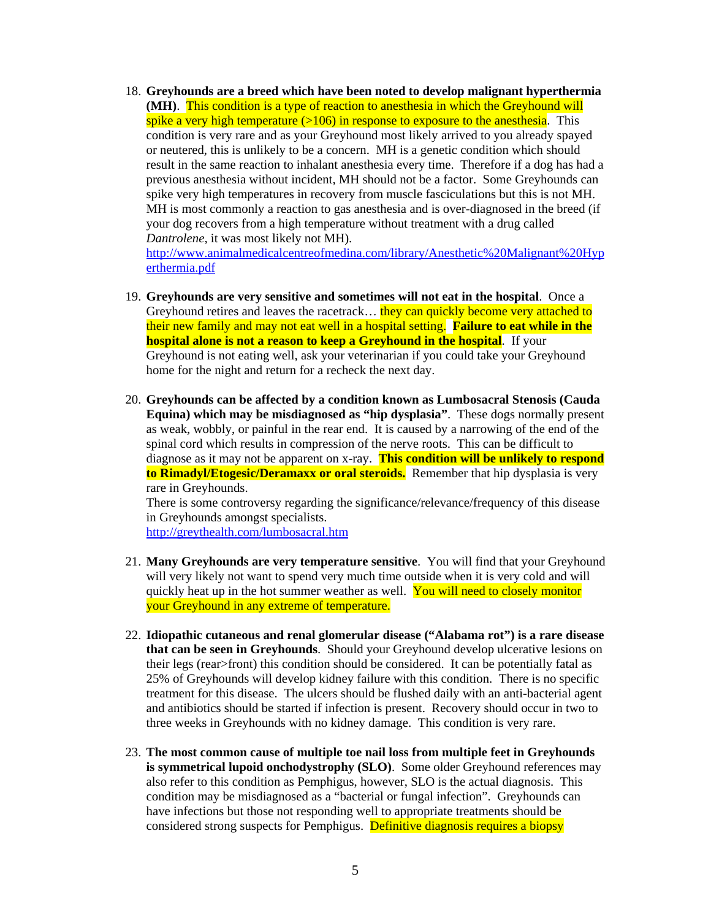18. **Greyhounds are a breed which have been noted to develop malignant hyperthermia (MH)**. This condition is a type of reaction to anesthesia in which the Greyhound will spike a very high temperature  $(>106)$  in response to exposure to the anesthesia. This condition is very rare and as your Greyhound most likely arrived to you already spayed or neutered, this is unlikely to be a concern. MH is a genetic condition which should result in the same reaction to inhalant anesthesia every time. Therefore if a dog has had a previous anesthesia without incident, MH should not be a factor. Some Greyhounds can spike very high temperatures in recovery from muscle fasciculations but this is not MH. MH is most commonly a reaction to gas anesthesia and is over-diagnosed in the breed (if your dog recovers from a high temperature without treatment with a drug called *Dantrolene*, it was most likely not MH).

http://www.animalmedicalcentreofmedina.com/library/Anesthetic%20Malignant%20Hyp erthermia.pdf

- 19. **Greyhounds are very sensitive and sometimes will not eat in the hospital**. Once a Greyhound retires and leaves the racetrack... they can quickly become very attached to their new family and may not eat well in a hospital setting. **Failure to eat while in the hospital alone is not a reason to keep a Greyhound in the hospital.** If your Greyhound is not eating well, ask your veterinarian if you could take your Greyhound home for the night and return for a recheck the next day.
- 20. **Greyhounds can be affected by a condition known as Lumbosacral Stenosis (Cauda Equina) which may be misdiagnosed as "hip dysplasia"**. These dogs normally present as weak, wobbly, or painful in the rear end. It is caused by a narrowing of the end of the spinal cord which results in compression of the nerve roots. This can be difficult to diagnose as it may not be apparent on x-ray. **This condition will be unlikely to respond to Rimadyl/Etogesic/Deramaxx or oral steroids.** Remember that hip dysplasia is very rare in Greyhounds.

There is some controversy regarding the significance/relevance/frequency of this disease in Greyhounds amongst specialists.

http://greythealth.com/lumbosacral.htm

- 21. **Many Greyhounds are very temperature sensitive**. You will find that your Greyhound will very likely not want to spend very much time outside when it is very cold and will quickly heat up in the hot summer weather as well. You will need to closely monitor your Greyhound in any extreme of temperature.
- 22. **Idiopathic cutaneous and renal glomerular disease ("Alabama rot") is a rare disease that can be seen in Greyhounds**. Should your Greyhound develop ulcerative lesions on their legs (rear>front) this condition should be considered. It can be potentially fatal as 25% of Greyhounds will develop kidney failure with this condition. There is no specific treatment for this disease. The ulcers should be flushed daily with an anti-bacterial agent and antibiotics should be started if infection is present. Recovery should occur in two to three weeks in Greyhounds with no kidney damage. This condition is very rare.
- 23. **The most common cause of multiple toe nail loss from multiple feet in Greyhounds is symmetrical lupoid onchodystrophy (SLO)**. Some older Greyhound references may also refer to this condition as Pemphigus, however, SLO is the actual diagnosis. This condition may be misdiagnosed as a "bacterial or fungal infection". Greyhounds can have infections but those not responding well to appropriate treatments should be considered strong suspects for Pemphigus. Definitive diagnosis requires a biopsy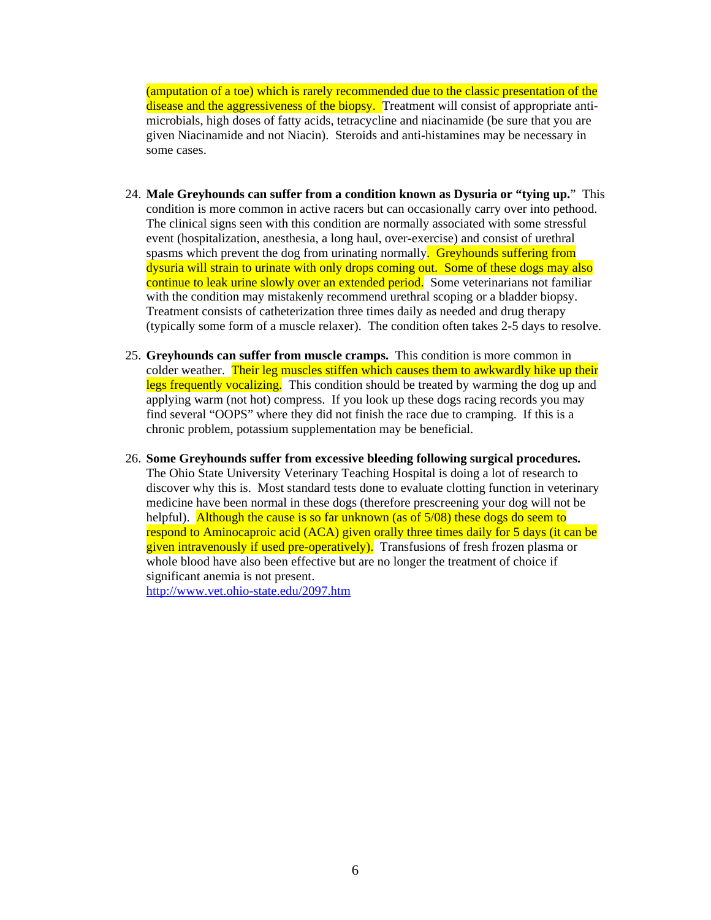(amputation of a toe) which is rarely recommended due to the classic presentation of the disease and the aggressiveness of the biopsy. Treatment will consist of appropriate antimicrobials, high doses of fatty acids, tetracycline and niacinamide (be sure that you are given Niacinamide and not Niacin). Steroids and anti-histamines may be necessary in some cases.

- 24. **Male Greyhounds can suffer from a condition known as Dysuria or "tying up.**" This condition is more common in active racers but can occasionally carry over into pethood. The clinical signs seen with this condition are normally associated with some stressful event (hospitalization, anesthesia, a long haul, over-exercise) and consist of urethral spasms which prevent the dog from urinating normally. Greyhounds suffering from dysuria will strain to urinate with only drops coming out. Some of these dogs may also continue to leak urine slowly over an extended period. Some veterinarians not familiar with the condition may mistakenly recommend urethral scoping or a bladder biopsy. Treatment consists of catheterization three times daily as needed and drug therapy (typically some form of a muscle relaxer). The condition often takes 2-5 days to resolve.
- 25. **Greyhounds can suffer from muscle cramps.** This condition is more common in colder weather. Their leg muscles stiffen which causes them to awkwardly hike up their legs frequently vocalizing. This condition should be treated by warming the dog up and applying warm (not hot) compress. If you look up these dogs racing records you may find several "OOPS" where they did not finish the race due to cramping. If this is a chronic problem, potassium supplementation may be beneficial.
- 26. **Some Greyhounds suffer from excessive bleeding following surgical procedures.** The Ohio State University Veterinary Teaching Hospital is doing a lot of research to discover why this is. Most standard tests done to evaluate clotting function in veterinary medicine have been normal in these dogs (therefore prescreening your dog will not be helpful). Although the cause is so far unknown (as of 5/08) these dogs do seem to respond to Aminocaproic acid (ACA) given orally three times daily for 5 days (it can be given intravenously if used pre-operatively). Transfusions of fresh frozen plasma or whole blood have also been effective but are no longer the treatment of choice if significant anemia is not present.

http://www.vet.ohio-state.edu/2097.htm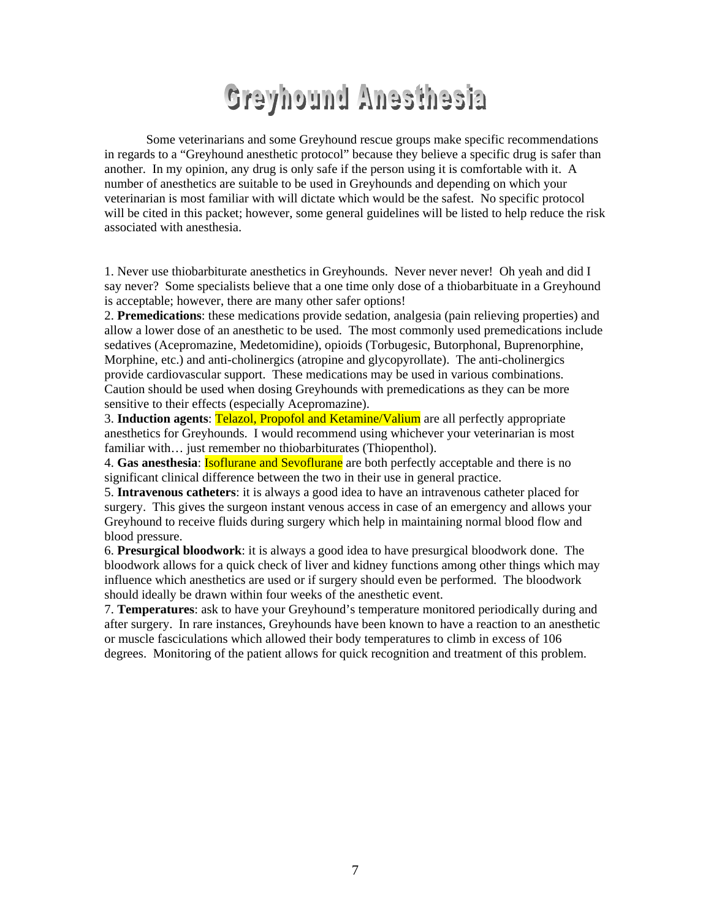# **Greyhound Anesthesia**

Some veterinarians and some Greyhound rescue groups make specific recommendations in regards to a "Greyhound anesthetic protocol" because they believe a specific drug is safer than another. In my opinion, any drug is only safe if the person using it is comfortable with it. A number of anesthetics are suitable to be used in Greyhounds and depending on which your veterinarian is most familiar with will dictate which would be the safest. No specific protocol will be cited in this packet; however, some general guidelines will be listed to help reduce the risk associated with anesthesia.

1. Never use thiobarbiturate anesthetics in Greyhounds. Never never never! Oh yeah and did I say never? Some specialists believe that a one time only dose of a thiobarbituate in a Greyhound is acceptable; however, there are many other safer options!

2. **Premedications**: these medications provide sedation, analgesia (pain relieving properties) and allow a lower dose of an anesthetic to be used. The most commonly used premedications include sedatives (Acepromazine, Medetomidine), opioids (Torbugesic, Butorphonal, Buprenorphine, Morphine, etc.) and anti-cholinergics (atropine and glycopyrollate). The anti-cholinergics provide cardiovascular support. These medications may be used in various combinations. Caution should be used when dosing Greyhounds with premedications as they can be more sensitive to their effects (especially Acepromazine).

3. **Induction agents**: Telazol, Propofol and Ketamine/Valium are all perfectly appropriate anesthetics for Greyhounds. I would recommend using whichever your veterinarian is most familiar with... just remember no thiobarbiturates (Thiopenthol).

4. **Gas anesthesia**: Isoflurane and Sevoflurane are both perfectly acceptable and there is no significant clinical difference between the two in their use in general practice.

5. **Intravenous catheters**: it is always a good idea to have an intravenous catheter placed for surgery. This gives the surgeon instant venous access in case of an emergency and allows your Greyhound to receive fluids during surgery which help in maintaining normal blood flow and blood pressure.

6. **Presurgical bloodwork**: it is always a good idea to have presurgical bloodwork done. The bloodwork allows for a quick check of liver and kidney functions among other things which may influence which anesthetics are used or if surgery should even be performed. The bloodwork should ideally be drawn within four weeks of the anesthetic event.

7. **Temperatures**: ask to have your Greyhound's temperature monitored periodically during and after surgery. In rare instances, Greyhounds have been known to have a reaction to an anesthetic or muscle fasciculations which allowed their body temperatures to climb in excess of 106 degrees. Monitoring of the patient allows for quick recognition and treatment of this problem.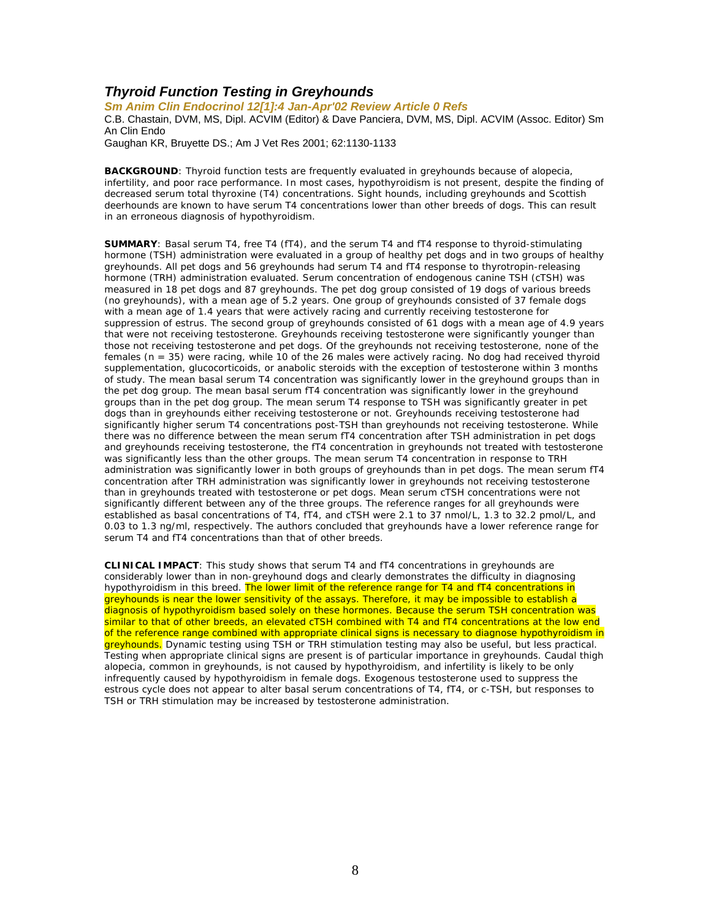#### *Thyroid Function Testing in Greyhounds*

*Sm Anim Clin Endocrinol 12[1]:4 Jan-Apr'02 Review Article 0 Refs*

C.B. Chastain, DVM, MS, Dipl. ACVIM (Editor) & Dave Panciera, DVM, MS, Dipl. ACVIM (Assoc. Editor) Sm An Clin Endo

Gaughan KR, Bruyette DS.; Am J Vet Res 2001; 62:1130-1133

**BACKGROUND:** Thyroid function tests are frequently evaluated in greyhounds because of alopecia, infertility, and poor race performance. In most cases, hypothyroidism is not present, despite the finding of decreased serum total thyroxine (T4) concentrations. Sight hounds, including greyhounds and Scottish deerhounds are known to have serum T4 concentrations lower than other breeds of dogs. This can result in an erroneous diagnosis of hypothyroidism.

**SUMMARY**: Basal serum T4, free T4 (fT4), and the serum T4 and fT4 response to thyroid-stimulating hormone (TSH) administration were evaluated in a group of healthy pet dogs and in two groups of healthy greyhounds. All pet dogs and 56 greyhounds had serum T4 and fT4 response to thyrotropin-releasing hormone (TRH) administration evaluated. Serum concentration of endogenous canine TSH (cTSH) was measured in 18 pet dogs and 87 greyhounds. The pet dog group consisted of 19 dogs of various breeds (no greyhounds), with a mean age of 5.2 years. One group of greyhounds consisted of 37 female dogs with a mean age of 1.4 years that were actively racing and currently receiving testosterone for suppression of estrus. The second group of greyhounds consisted of 61 dogs with a mean age of 4.9 years that were not receiving testosterone. Greyhounds receiving testosterone were significantly younger than those not receiving testosterone and pet dogs. Of the greyhounds not receiving testosterone, none of the females (n = 35) were racing, while 10 of the 26 males were actively racing. No dog had received thyroid supplementation, glucocorticoids, or anabolic steroids with the exception of testosterone within 3 months of study. The mean basal serum T4 concentration was significantly lower in the greyhound groups than in the pet dog group. The mean basal serum fT4 concentration was significantly lower in the greyhound groups than in the pet dog group. The mean serum T4 response to TSH was significantly greater in pet dogs than in greyhounds either receiving testosterone or not. Greyhounds receiving testosterone had significantly higher serum T4 concentrations post-TSH than greyhounds not receiving testosterone. While there was no difference between the mean serum fT4 concentration after TSH administration in pet dogs and greyhounds receiving testosterone, the fT4 concentration in greyhounds not treated with testosterone was significantly less than the other groups. The mean serum T4 concentration in response to TRH administration was significantly lower in both groups of greyhounds than in pet dogs. The mean serum fT4 concentration after TRH administration was significantly lower in greyhounds not receiving testosterone than in greyhounds treated with testosterone or pet dogs. Mean serum cTSH concentrations were not significantly different between any of the three groups. The reference ranges for all greyhounds were established as basal concentrations of T4, fT4, and cTSH were 2.1 to 37 nmol/L, 1.3 to 32.2 pmol/L, and 0.03 to 1.3 ng/ml, respectively. The authors concluded that greyhounds have a lower reference range for serum T4 and fT4 concentrations than that of other breeds.

**CLINICAL IMPACT**: This study shows that serum T4 and fT4 concentrations in greyhounds are considerably lower than in non-greyhound dogs and clearly demonstrates the difficulty in diagnosing hypothyroidism in this breed. The lower limit of the reference range for T4 and fT4 concentrations in greyhounds is near the lower sensitivity of the assays. Therefore, it may be impossible to establish a diagnosis of hypothyroidism based solely on these hormones. Because the serum TSH concentration was similar to that of other breeds, an elevated cTSH combined with T4 and fT4 concentrations at the low end of the reference range combined with appropriate clinical signs is necessary to diagnose hypothyroidism in greyhounds. Dynamic testing using TSH or TRH stimulation testing may also be useful, but less practical. Testing when appropriate clinical signs are present is of particular importance in greyhounds. Caudal thigh alopecia, common in greyhounds, is not caused by hypothyroidism, and infertility is likely to be only infrequently caused by hypothyroidism in female dogs. Exogenous testosterone used to suppress the estrous cycle does not appear to alter basal serum concentrations of T4, fT4, or c-TSH, but responses to TSH or TRH stimulation may be increased by testosterone administration.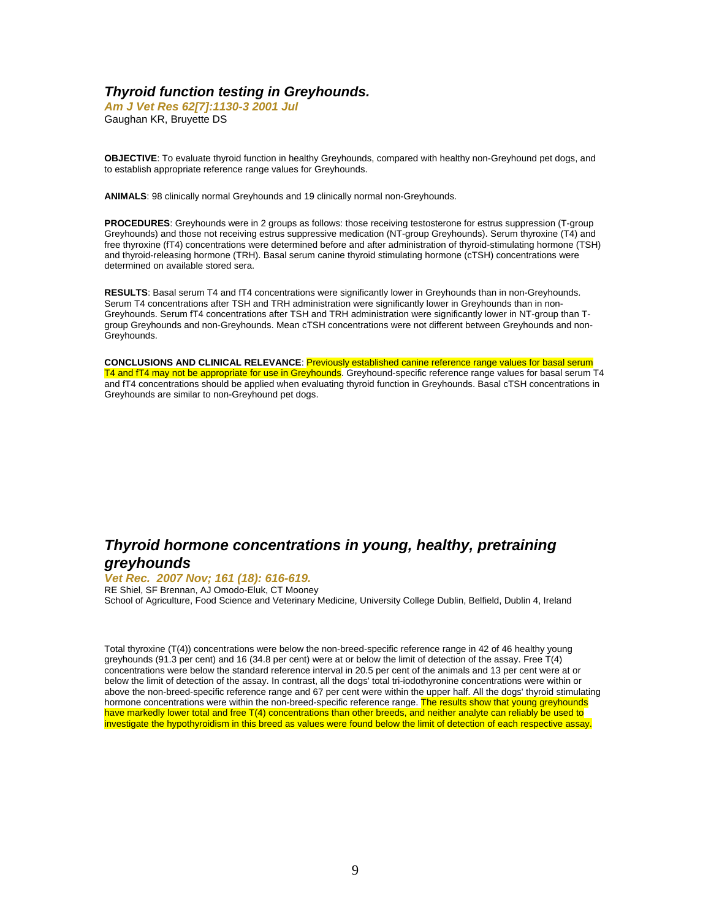#### *Thyroid function testing in Greyhounds.*

*Am J Vet Res 62[7]:1130-3 2001 Jul* Gaughan KR, Bruyette DS

**OBJECTIVE**: To evaluate thyroid function in healthy Greyhounds, compared with healthy non-Greyhound pet dogs, and to establish appropriate reference range values for Greyhounds.

**ANIMALS**: 98 clinically normal Greyhounds and 19 clinically normal non-Greyhounds.

**PROCEDURES**: Greyhounds were in 2 groups as follows: those receiving testosterone for estrus suppression (T-group Greyhounds) and those not receiving estrus suppressive medication (NT-group Greyhounds). Serum thyroxine (T4) and free thyroxine (fT4) concentrations were determined before and after administration of thyroid-stimulating hormone (TSH) and thyroid-releasing hormone (TRH). Basal serum canine thyroid stimulating hormone (cTSH) concentrations were determined on available stored sera.

**RESULTS**: Basal serum T4 and fT4 concentrations were significantly lower in Greyhounds than in non-Greyhounds. Serum T4 concentrations after TSH and TRH administration were significantly lower in Greyhounds than in non-Greyhounds. Serum fT4 concentrations after TSH and TRH administration were significantly lower in NT-group than Tgroup Greyhounds and non-Greyhounds. Mean cTSH concentrations were not different between Greyhounds and non-Greyhounds.

**CONCLUSIONS AND CLINICAL RELEVANCE**: Previously established canine reference range values for basal serum T4 and fT4 may not be appropriate for use in Greyhounds. Greyhound-specific reference range values for basal serum T4 and fT4 concentrations should be applied when evaluating thyroid function in Greyhounds. Basal cTSH concentrations in Greyhounds are similar to non-Greyhound pet dogs.

# *Thyroid hormone concentrations in young, healthy, pretraining greyhounds*

#### *Vet Rec. 2007 Nov; 161 (18): 616-619.*

RE Shiel, SF Brennan, AJ Omodo-Eluk, CT Mooney School of Agriculture, Food Science and Veterinary Medicine, University College Dublin, Belfield, Dublin 4, Ireland

Total thyroxine (T(4)) concentrations were below the non-breed-specific reference range in 42 of 46 healthy young greyhounds (91.3 per cent) and 16 (34.8 per cent) were at or below the limit of detection of the assay. Free T(4) concentrations were below the standard reference interval in 20.5 per cent of the animals and 13 per cent were at or below the limit of detection of the assay. In contrast, all the dogs' total tri-iodothyronine concentrations were within or above the non-breed-specific reference range and 67 per cent were within the upper half. All the dogs' thyroid stimulating hormone concentrations were within the non-breed-specific reference range. The results show that young greyhounds have markedly lower total and free T(4) concentrations than other breeds, and neither analyte can reliably be used to investigate the hypothyroidism in this breed as values were found below the limit of detection of each respective assay.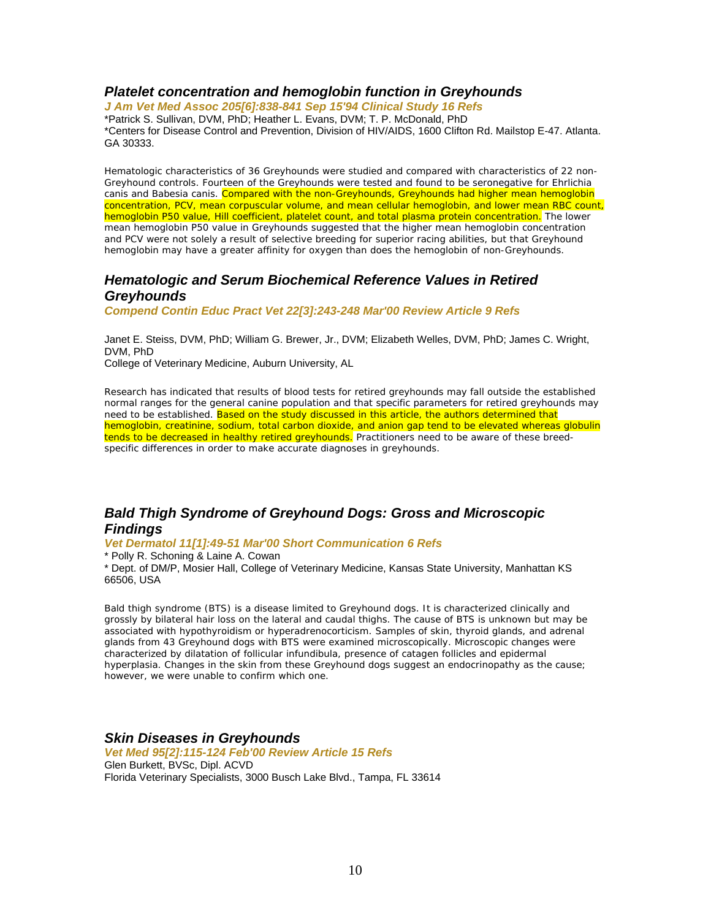#### *Platelet concentration and hemoglobin function in Greyhounds*

*J Am Vet Med Assoc 205[6]:838-841 Sep 15'94 Clinical Study 16 Refs* \*Patrick S. Sullivan, DVM, PhD; Heather L. Evans, DVM; T. P. McDonald, PhD \*Centers for Disease Control and Prevention, Division of HIV/AIDS, 1600 Clifton Rd. Mailstop E-47. Atlanta. GA 30333.

Hematologic characteristics of 36 Greyhounds were studied and compared with characteristics of 22 non-Greyhound controls. Fourteen of the Greyhounds were tested and found to be seronegative for Ehrlichia canis and Babesia canis. Compared with the non-Greyhounds, Greyhounds had higher mean hemoglobin concentration, PCV, mean corpuscular volume, and mean cellular hemoglobin, and lower mean RBC count, hemoglobin P50 value, Hill coefficient, platelet count, and total plasma protein concentration. The lower mean hemoglobin P50 value in Greyhounds suggested that the higher mean hemoglobin concentration and PCV were not solely a result of selective breeding for superior racing abilities, but that Greyhound hemoglobin may have a greater affinity for oxygen than does the hemoglobin of non-Greyhounds.

## *Hematologic and Serum Biochemical Reference Values in Retired Greyhounds*

*Compend Contin Educ Pract Vet 22[3]:243-248 Mar'00 Review Article 9 Refs*

Janet E. Steiss, DVM, PhD; William G. Brewer, Jr., DVM; Elizabeth Welles, DVM, PhD; James C. Wright, DVM, PhD

College of Veterinary Medicine, Auburn University, AL

Research has indicated that results of blood tests for retired greyhounds may fall outside the established normal ranges for the general canine population and that specific parameters for retired greyhounds may need to be established. Based on the study discussed in this article, the authors determined that hemoglobin, creatinine, sodium, total carbon dioxide, and anion gap tend to be elevated whereas globulin tends to be decreased in healthy retired greyhounds. Practitioners need to be aware of these breedspecific differences in order to make accurate diagnoses in greyhounds.

# *Bald Thigh Syndrome of Greyhound Dogs: Gross and Microscopic Findings*

#### *Vet Dermatol 11[1]:49-51 Mar'00 Short Communication 6 Refs*

\* Polly R. Schoning & Laine A. Cowan

\* Dept. of DM/P, Mosier Hall, College of Veterinary Medicine, Kansas State University, Manhattan KS 66506, USA

Bald thigh syndrome (BTS) is a disease limited to Greyhound dogs. It is characterized clinically and grossly by bilateral hair loss on the lateral and caudal thighs. The cause of BTS is unknown but may be associated with hypothyroidism or hyperadrenocorticism. Samples of skin, thyroid glands, and adrenal glands from 43 Greyhound dogs with BTS were examined microscopically. Microscopic changes were characterized by dilatation of follicular infundibula, presence of catagen follicles and epidermal hyperplasia. Changes in the skin from these Greyhound dogs suggest an endocrinopathy as the cause; however, we were unable to confirm which one.

#### *Skin Diseases in Greyhounds*

*Vet Med 95[2]:115-124 Feb'00 Review Article 15 Refs* Glen Burkett, BVSc, Dipl. ACVD Florida Veterinary Specialists, 3000 Busch Lake Blvd., Tampa, FL 33614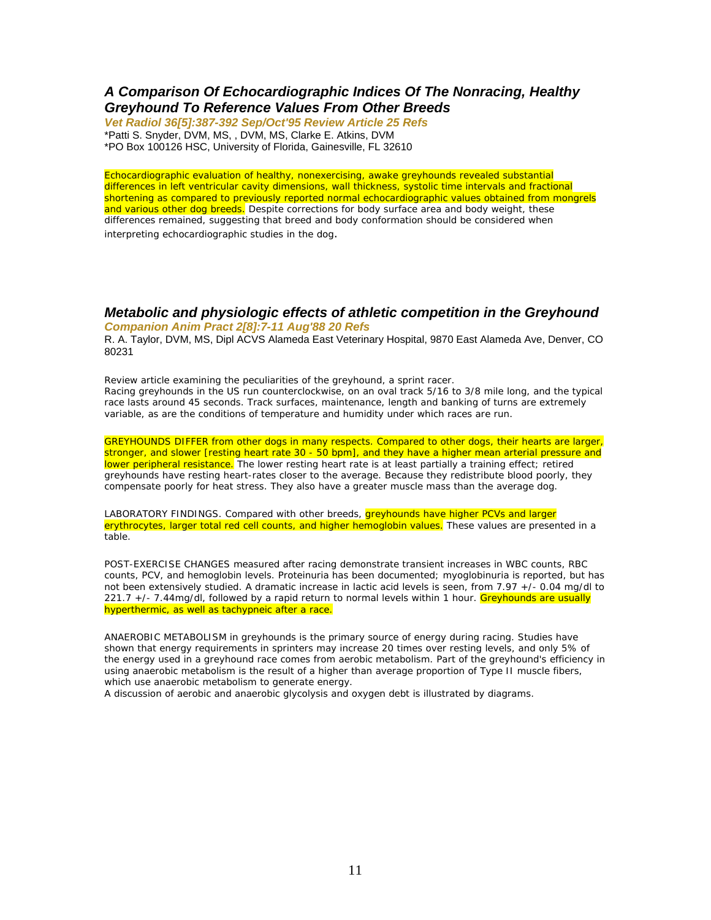#### *A Comparison Of Echocardiographic Indices Of The Nonracing, Healthy Greyhound To Reference Values From Other Breeds*

*Vet Radiol 36[5]:387-392 Sep/Oct'95 Review Article 25 Refs* \*Patti S. Snyder, DVM, MS, , DVM, MS, Clarke E. Atkins, DVM \*PO Box 100126 HSC, University of Florida, Gainesville, FL 32610

Echocardiographic evaluation of healthy, nonexercising, awake greyhounds revealed substantial differences in left ventricular cavity dimensions, wall thickness, systolic time intervals and fractional shortening as compared to previously reported normal echocardiographic values obtained from mongrels and various other dog breeds. Despite corrections for body surface area and body weight, these differences remained, suggesting that breed and body conformation should be considered when interpreting echocardiographic studies in the dog.

#### *Metabolic and physiologic effects of athletic competition in the Greyhound Companion Anim Pract 2[8]:7-11 Aug'88 20 Refs*

R. A. Taylor, DVM, MS, Dipl ACVS Alameda East Veterinary Hospital, 9870 East Alameda Ave, Denver, CO 80231

Review article examining the peculiarities of the greyhound, a sprint racer. Racing greyhounds in the US run counterclockwise, on an oval track 5/16 to 3/8 mile long, and the typical race lasts around 45 seconds. Track surfaces, maintenance, length and banking of turns are extremely variable, as are the conditions of temperature and humidity under which races are run.

GREYHOUNDS DIFFER from other dogs in many respects. Compared to other dogs, their hearts are larger, stronger, and slower [resting heart rate 30 - 50 bpm], and they have a higher mean arterial pressure and lower peripheral resistance. The lower resting heart rate is at least partially a training effect; retired greyhounds have resting heart-rates closer to the average. Because they redistribute blood poorly, they compensate poorly for heat stress. They also have a greater muscle mass than the average dog.

LABORATORY FINDINGS. Compared with other breeds, **greyhounds have higher PCVs and larger** erythrocytes, larger total red cell counts, and higher hemoglobin values. These values are presented in a table.

POST-EXERCISE CHANGES measured after racing demonstrate transient increases in WBC counts, RBC counts, PCV, and hemoglobin levels. Proteinuria has been documented; myoglobinuria is reported, but has not been extensively studied. A dramatic increase in lactic acid levels is seen, from 7.97 +/- 0.04 mg/dl to 221.7 +/- 7.44mg/dl, followed by a rapid return to normal levels within 1 hour. Greyhounds are usually hyperthermic, as well as tachypneic after a race.

ANAEROBIC METABOLISM in greyhounds is the primary source of energy during racing. Studies have shown that energy requirements in sprinters may increase 20 times over resting levels, and only 5% of the energy used in a greyhound race comes from aerobic metabolism. Part of the greyhound's efficiency in using anaerobic metabolism is the result of a higher than average proportion of Type II muscle fibers, which use anaerobic metabolism to generate energy.

A discussion of aerobic and anaerobic glycolysis and oxygen debt is illustrated by diagrams.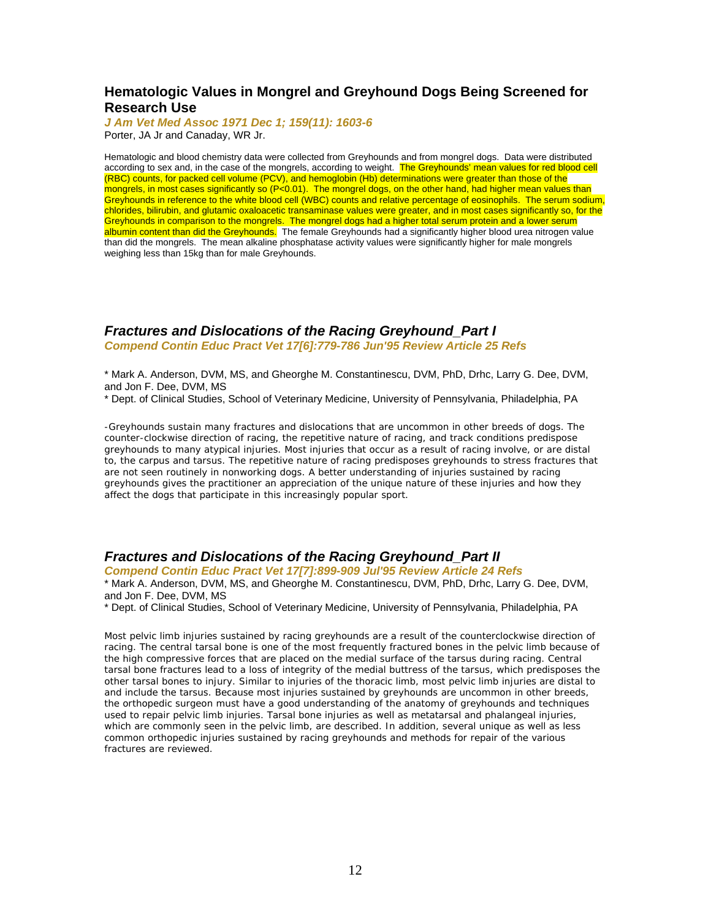#### **Hematologic Values in Mongrel and Greyhound Dogs Being Screened for Research Use**

*J Am Vet Med Assoc 1971 Dec 1; 159(11): 1603-6* Porter, JA Jr and Canaday, WR Jr.

Hematologic and blood chemistry data were collected from Greyhounds and from mongrel dogs. Data were distributed according to sex and, in the case of the mongrels, according to weight. The Greyhounds' mean values for red blood cell (RBC) counts, for packed cell volume (PCV), and hemoglobin (Hb) determinations were greater than those of the mongrels, in most cases significantly so (P<0.01). The mongrel dogs, on the other hand, had higher mean values than Greyhounds in reference to the white blood cell (WBC) counts and relative percentage of eosinophils. The serum sodium, chlorides, bilirubin, and glutamic oxaloacetic transaminase values were greater, and in most cases significantly so, for the Greyhounds in comparison to the mongrels. The mongrel dogs had a higher total serum protein and a lower serum albumin content than did the Greyhounds. The female Greyhounds had a significantly higher blood urea nitrogen value than did the mongrels. The mean alkaline phosphatase activity values were significantly higher for male mongrels weighing less than 15kg than for male Greyhounds.

#### *Fractures and Dislocations of the Racing Greyhound\_Part I Compend Contin Educ Pract Vet 17[6]:779-786 Jun'95 Review Article 25 Refs*

\* Mark A. Anderson, DVM, MS, and Gheorghe M. Constantinescu, DVM, PhD, Drhc, Larry G. Dee, DVM, and Jon F. Dee, DVM, MS

\* Dept. of Clinical Studies, School of Veterinary Medicine, University of Pennsylvania, Philadelphia, PA

-Greyhounds sustain many fractures and dislocations that are uncommon in other breeds of dogs. The counter-clockwise direction of racing, the repetitive nature of racing, and track conditions predispose greyhounds to many atypical injuries. Most injuries that occur as a result of racing involve, or are distal to, the carpus and tarsus. The repetitive nature of racing predisposes greyhounds to stress fractures that are not seen routinely in nonworking dogs. A better understanding of injuries sustained by racing greyhounds gives the practitioner an appreciation of the unique nature of these injuries and how they affect the dogs that participate in this increasingly popular sport.

#### *Fractures and Dislocations of the Racing Greyhound\_Part II*

*Compend Contin Educ Pract Vet 17[7]:899-909 Jul'95 Review Article 24 Refs* \* Mark A. Anderson, DVM, MS, and Gheorghe M. Constantinescu, DVM, PhD, Drhc, Larry G. Dee, DVM, and Jon F. Dee, DVM, MS

\* Dept. of Clinical Studies, School of Veterinary Medicine, University of Pennsylvania, Philadelphia, PA

Most pelvic limb injuries sustained by racing greyhounds are a result of the counterclockwise direction of racing. The central tarsal bone is one of the most frequently fractured bones in the pelvic limb because of the high compressive forces that are placed on the medial surface of the tarsus during racing. Central tarsal bone fractures lead to a loss of integrity of the medial buttress of the tarsus, which predisposes the other tarsal bones to injury. Similar to injuries of the thoracic limb, most pelvic limb injuries are distal to and include the tarsus. Because most injuries sustained by greyhounds are uncommon in other breeds, the orthopedic surgeon must have a good understanding of the anatomy of greyhounds and techniques used to repair pelvic limb injuries. Tarsal bone injuries as well as metatarsal and phalangeal injuries, which are commonly seen in the pelvic limb, are described. In addition, several unique as well as less common orthopedic injuries sustained by racing greyhounds and methods for repair of the various fractures are reviewed.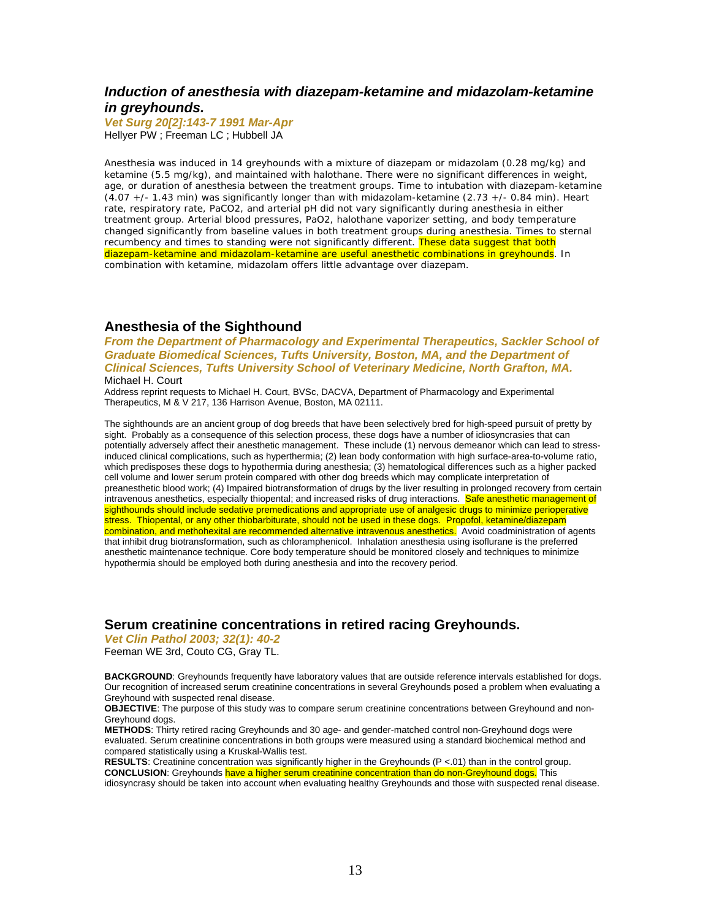#### *Induction of anesthesia with diazepam-ketamine and midazolam-ketamine in greyhounds.*

*Vet Surg 20[2]:143-7 1991 Mar-Apr* Hellyer PW ; Freeman LC ; Hubbell JA

Anesthesia was induced in 14 greyhounds with a mixture of diazepam or midazolam (0.28 mg/kg) and ketamine (5.5 mg/kg), and maintained with halothane. There were no significant differences in weight, age, or duration of anesthesia between the treatment groups. Time to intubation with diazepam-ketamine (4.07 +/- 1.43 min) was significantly longer than with midazolam-ketamine (2.73 +/- 0.84 min). Heart rate, respiratory rate, PaCO2, and arterial pH did not vary significantly during anesthesia in either treatment group. Arterial blood pressures, PaO2, halothane vaporizer setting, and body temperature changed significantly from baseline values in both treatment groups during anesthesia. Times to sternal recumbency and times to standing were not significantly different. These data suggest that both diazepam-ketamine and midazolam-ketamine are useful anesthetic combinations in greyhounds. In combination with ketamine, midazolam offers little advantage over diazepam.

#### **Anesthesia of the Sighthound**

*From the Department of Pharmacology and Experimental Therapeutics, Sackler School of Graduate Biomedical Sciences, Tufts University, Boston, MA, and the Department of Clinical Sciences, Tufts University School of Veterinary Medicine, North Grafton, MA.*  Michael H. Court

Address reprint requests to Michael H. Court, BVSc, DACVA, Department of Pharmacology and Experimental Therapeutics, M & V 217, 136 Harrison Avenue, Boston, MA 02111.

The sighthounds are an ancient group of dog breeds that have been selectively bred for high-speed pursuit of pretty by sight. Probably as a consequence of this selection process, these dogs have a number of idiosyncrasies that can potentially adversely affect their anesthetic management. These include (1) nervous demeanor which can lead to stressinduced clinical complications, such as hyperthermia; (2) lean body conformation with high surface-area-to-volume ratio, which predisposes these dogs to hypothermia during anesthesia; (3) hematological differences such as a higher packed cell volume and lower serum protein compared with other dog breeds which may complicate interpretation of preanesthetic blood work; (4) Impaired biotransformation of drugs by the liver resulting in prolonged recovery from certain intravenous anesthetics, especially thiopental; and increased risks of drug interactions. Safe anesthetic management of sighthounds should include sedative premedications and appropriate use of analgesic drugs to minimize perioperative stress. Thiopental, or any other thiobarbiturate, should not be used in these dogs. Propofol, ketamine/diazepam combination, and methohexital are recommended alternative intravenous anesthetics. Avoid coadministration of agents that inhibit drug biotransformation, such as chloramphenicol. Inhalation anesthesia using isoflurane is the preferred anesthetic maintenance technique. Core body temperature should be monitored closely and techniques to minimize hypothermia should be employed both during anesthesia and into the recovery period.

#### **Serum creatinine concentrations in retired racing Greyhounds.**

*Vet Clin Pathol 2003; 32(1): 40-2*

Feeman WE 3rd, Couto CG, Gray TL.

**BACKGROUND**: Greyhounds frequently have laboratory values that are outside reference intervals established for dogs. Our recognition of increased serum creatinine concentrations in several Greyhounds posed a problem when evaluating a Greyhound with suspected renal disease.

**OBJECTIVE**: The purpose of this study was to compare serum creatinine concentrations between Greyhound and non-Greyhound dogs.

**METHODS**: Thirty retired racing Greyhounds and 30 age- and gender-matched control non-Greyhound dogs were evaluated. Serum creatinine concentrations in both groups were measured using a standard biochemical method and compared statistically using a Kruskal-Wallis test.

**RESULTS**: Creatinine concentration was significantly higher in the Greyhounds (P <.01) than in the control group. **CONCLUSION:** Greyhounds have a higher serum creatinine concentration than do non-Greyhound dogs. This idiosyncrasy should be taken into account when evaluating healthy Greyhounds and those with suspected renal disease.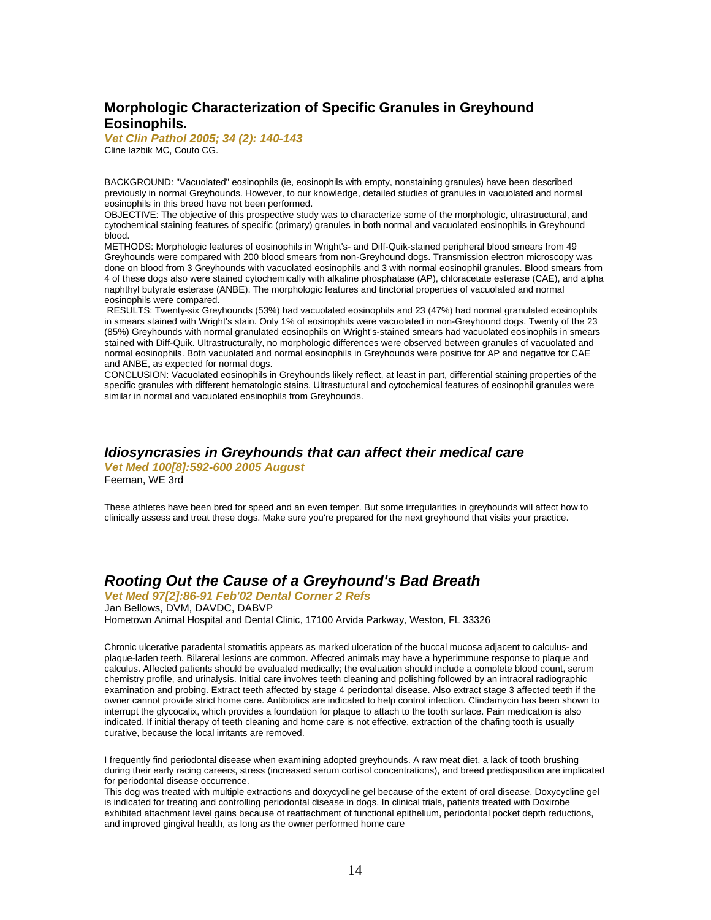# **Morphologic Characterization of Specific Granules in Greyhound Eosinophils.**

*Vet Clin Pathol 2005; 34 (2): 140-143* Cline Iazbik MC, Couto CG.

BACKGROUND: "Vacuolated" eosinophils (ie, eosinophils with empty, nonstaining granules) have been described previously in normal Greyhounds. However, to our knowledge, detailed studies of granules in vacuolated and normal eosinophils in this breed have not been performed.

OBJECTIVE: The objective of this prospective study was to characterize some of the morphologic, ultrastructural, and cytochemical staining features of specific (primary) granules in both normal and vacuolated eosinophils in Greyhound blood.

METHODS: Morphologic features of eosinophils in Wright's- and Diff-Quik-stained peripheral blood smears from 49 Greyhounds were compared with 200 blood smears from non-Greyhound dogs. Transmission electron microscopy was done on blood from 3 Greyhounds with vacuolated eosinophils and 3 with normal eosinophil granules. Blood smears from 4 of these dogs also were stained cytochemically with alkaline phosphatase (AP), chloracetate esterase (CAE), and alpha naphthyl butyrate esterase (ANBE). The morphologic features and tinctorial properties of vacuolated and normal eosinophils were compared.

 RESULTS: Twenty-six Greyhounds (53%) had vacuolated eosinophils and 23 (47%) had normal granulated eosinophils in smears stained with Wright's stain. Only 1% of eosinophils were vacuolated in non-Greyhound dogs. Twenty of the 23 (85%) Greyhounds with normal granulated eosinophils on Wright's-stained smears had vacuolated eosinophils in smears stained with Diff-Quik. Ultrastructurally, no morphologic differences were observed between granules of vacuolated and normal eosinophils. Both vacuolated and normal eosinophils in Greyhounds were positive for AP and negative for CAE and ANBE, as expected for normal dogs.

CONCLUSION: Vacuolated eosinophils in Greyhounds likely reflect, at least in part, differential staining properties of the specific granules with different hematologic stains. Ultrastuctural and cytochemical features of eosinophil granules were similar in normal and vacuolated eosinophils from Greyhounds.

#### *Idiosyncrasies in Greyhounds that can affect their medical care*

*Vet Med 100[8]:592-600 2005 August* Feeman, WE 3rd

These athletes have been bred for speed and an even temper. But some irregularities in greyhounds will affect how to clinically assess and treat these dogs. Make sure you're prepared for the next greyhound that visits your practice.

# *Rooting Out the Cause of a Greyhound's Bad Breath*

*Vet Med 97[2]:86-91 Feb'02 Dental Corner 2 Refs* Jan Bellows, DVM, DAVDC, DABVP Hometown Animal Hospital and Dental Clinic, 17100 Arvida Parkway, Weston, FL 33326

Chronic ulcerative paradental stomatitis appears as marked ulceration of the buccal mucosa adjacent to calculus- and plaque-laden teeth. Bilateral lesions are common. Affected animals may have a hyperimmune response to plaque and calculus. Affected patients should be evaluated medically; the evaluation should include a complete blood count, serum chemistry profile, and urinalysis. Initial care involves teeth cleaning and polishing followed by an intraoral radiographic examination and probing. Extract teeth affected by stage 4 periodontal disease. Also extract stage 3 affected teeth if the owner cannot provide strict home care. Antibiotics are indicated to help control infection. Clindamycin has been shown to interrupt the glycocalix, which provides a foundation for plaque to attach to the tooth surface. Pain medication is also indicated. If initial therapy of teeth cleaning and home care is not effective, extraction of the chafing tooth is usually curative, because the local irritants are removed.

I frequently find periodontal disease when examining adopted greyhounds. A raw meat diet, a lack of tooth brushing during their early racing careers, stress (increased serum cortisol concentrations), and breed predisposition are implicated for periodontal disease occurrence.

This dog was treated with multiple extractions and doxycycline gel because of the extent of oral disease. Doxycycline gel is indicated for treating and controlling periodontal disease in dogs. In clinical trials, patients treated with Doxirobe exhibited attachment level gains because of reattachment of functional epithelium, periodontal pocket depth reductions, and improved gingival health, as long as the owner performed home care